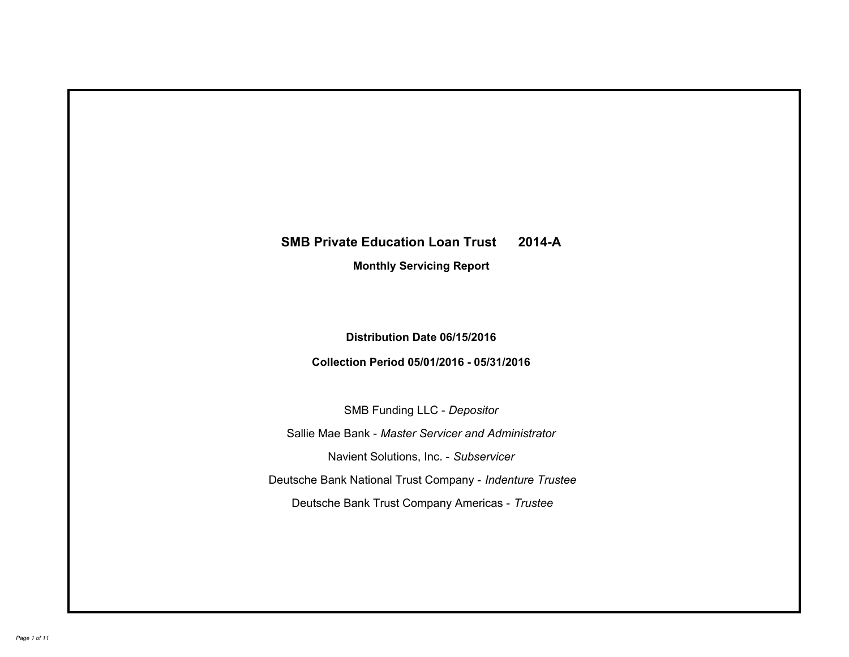# **SMB Private Education Loan Trust 2014-A Monthly Servicing Report**

# **Distribution Date 06/15/2016**

# **Collection Period 05/01/2016 - 05/31/2016**

SMB Funding LLC - *Depositor*

Sallie Mae Bank - *Master Servicer and Administrator*

Navient Solutions, Inc. - *Subservicer*

Deutsche Bank National Trust Company - *Indenture Trustee*

Deutsche Bank Trust Company Americas - *Trustee*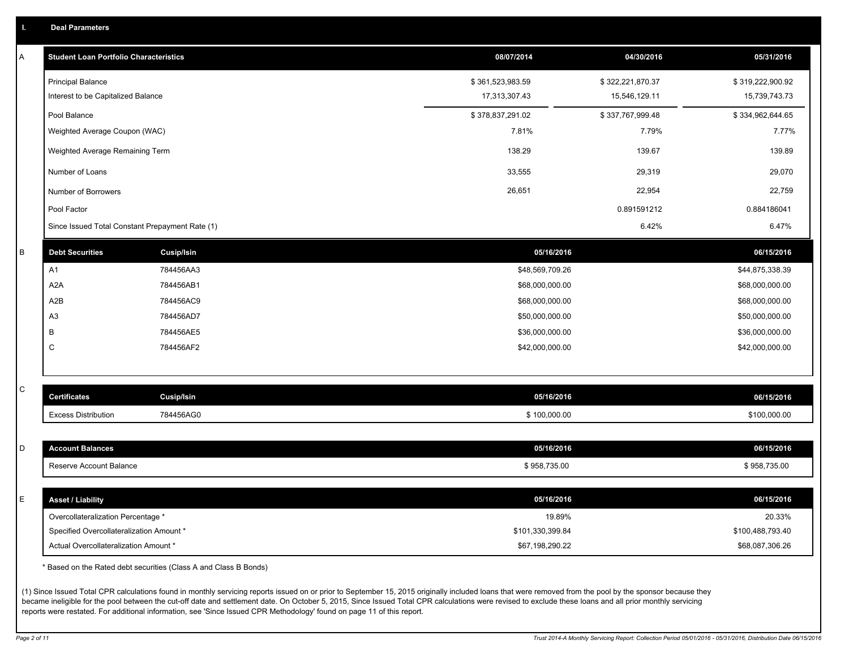|  |  |  | <b>Deal Parameters</b> |  |
|--|--|--|------------------------|--|
|--|--|--|------------------------|--|

| Α       | <b>Student Loan Portfolio Characteristics</b>   |            | 08/07/2014       | 04/30/2016       | 05/31/2016       |
|---------|-------------------------------------------------|------------|------------------|------------------|------------------|
|         | <b>Principal Balance</b>                        |            | \$361,523,983.59 | \$322,221,870.37 | \$319,222,900.92 |
|         | Interest to be Capitalized Balance              |            | 17,313,307.43    | 15,546,129.11    | 15,739,743.73    |
|         | Pool Balance                                    |            | \$378,837,291.02 | \$337,767,999.48 | \$334,962,644.65 |
|         | Weighted Average Coupon (WAC)                   |            | 7.81%            | 7.79%            | 7.77%            |
|         | Weighted Average Remaining Term                 |            | 138.29           | 139.67           | 139.89           |
|         | Number of Loans                                 |            | 33,555           | 29,319           | 29,070           |
|         | Number of Borrowers                             |            | 26,651           | 22,954           | 22,759           |
|         | Pool Factor                                     |            |                  | 0.891591212      | 0.884186041      |
|         | Since Issued Total Constant Prepayment Rate (1) |            |                  | 6.42%            | 6.47%            |
| $\sf B$ | <b>Debt Securities</b>                          | Cusip/Isin | 05/16/2016       |                  | 06/15/2016       |
|         | A1                                              | 784456AA3  | \$48,569,709.26  |                  | \$44,875,338.39  |
|         | A <sub>2</sub> A                                | 784456AB1  | \$68,000,000.00  |                  | \$68,000,000.00  |
|         | A <sub>2</sub> B                                | 784456AC9  | \$68,000,000.00  |                  | \$68,000,000.00  |
|         | A <sub>3</sub>                                  | 784456AD7  | \$50,000,000.00  |                  | \$50,000,000.00  |
|         | B                                               | 784456AE5  | \$36,000,000.00  |                  | \$36,000,000.00  |
|         | C                                               | 784456AF2  | \$42,000,000.00  |                  | \$42,000,000.00  |
|         |                                                 |            |                  |                  |                  |
| С       | <b>Certificates</b>                             | Cusip/Isin | 05/16/2016       |                  | 06/15/2016       |
|         | <b>Excess Distribution</b>                      | 784456AG0  | \$100,000.00     |                  | \$100,000.00     |
|         |                                                 |            |                  |                  |                  |
| D       | <b>Account Balances</b>                         |            | 05/16/2016       |                  | 06/15/2016       |
|         | Reserve Account Balance                         |            | \$958,735.00     |                  | \$958,735.00     |
| E       | <b>Asset / Liability</b>                        |            | 05/16/2016       |                  | 06/15/2016       |
|         | Overcollateralization Percentage *              |            | 19.89%           |                  | 20.33%           |
|         | Specified Overcollateralization Amount *        |            | \$101,330,399.84 |                  | \$100,488,793.40 |
|         | Actual Overcollateralization Amount *           |            | \$67,198,290.22  |                  | \$68,087,306.26  |
|         |                                                 |            |                  |                  |                  |

\* Based on the Rated debt securities (Class A and Class B Bonds)

(1) Since Issued Total CPR calculations found in monthly servicing reports issued on or prior to September 15, 2015 originally included loans that were removed from the pool by the sponsor because they became ineligible for the pool between the cut-off date and settlement date. On October 5, 2015, Since Issued Total CPR calculations were revised to exclude these loans and all prior monthly servicing reports were restated. For additional information, see 'Since Issued CPR Methodology' found on page 11 of this report.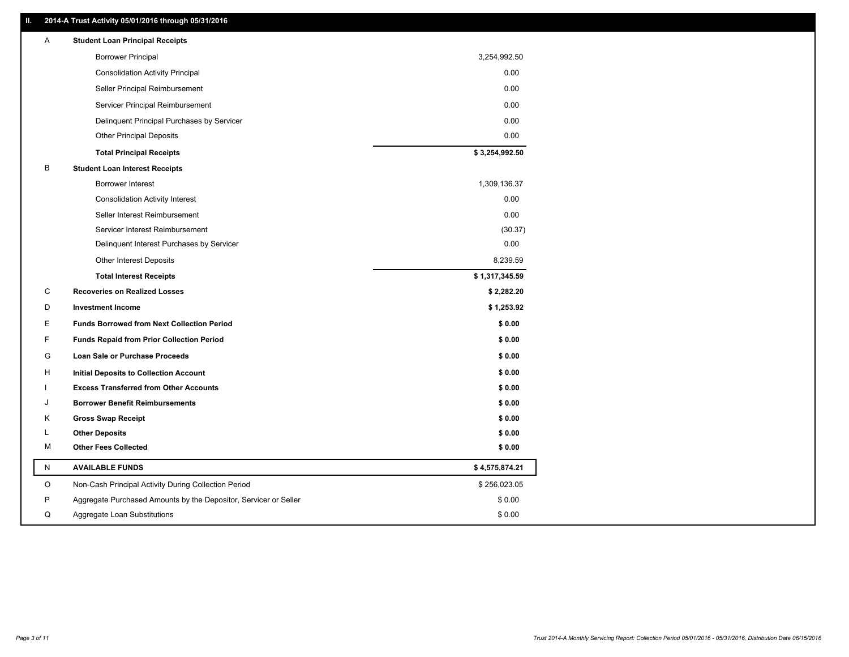### **II. 2014-A Trust Activity 05/01/2016 through 05/31/2016**

| A         | <b>Student Loan Principal Receipts</b>                           |                |
|-----------|------------------------------------------------------------------|----------------|
|           | <b>Borrower Principal</b>                                        | 3,254,992.50   |
|           | <b>Consolidation Activity Principal</b>                          | 0.00           |
|           | Seller Principal Reimbursement                                   | 0.00           |
|           | Servicer Principal Reimbursement                                 | 0.00           |
|           | Delinquent Principal Purchases by Servicer                       | 0.00           |
|           | <b>Other Principal Deposits</b>                                  | 0.00           |
|           | <b>Total Principal Receipts</b>                                  | \$3,254,992.50 |
| В         | <b>Student Loan Interest Receipts</b>                            |                |
|           | <b>Borrower Interest</b>                                         | 1,309,136.37   |
|           | <b>Consolidation Activity Interest</b>                           | 0.00           |
|           | Seller Interest Reimbursement                                    | 0.00           |
|           | Servicer Interest Reimbursement                                  | (30.37)        |
|           | Delinquent Interest Purchases by Servicer                        | 0.00           |
|           | Other Interest Deposits                                          | 8,239.59       |
|           | <b>Total Interest Receipts</b>                                   | \$1,317,345.59 |
| C         | <b>Recoveries on Realized Losses</b>                             | \$2,282.20     |
| D         | <b>Investment Income</b>                                         | \$1,253.92     |
| Е         | <b>Funds Borrowed from Next Collection Period</b>                | \$0.00         |
| F         | <b>Funds Repaid from Prior Collection Period</b>                 | \$0.00         |
| G         | Loan Sale or Purchase Proceeds                                   | \$0.00         |
| H         | Initial Deposits to Collection Account                           | \$0.00         |
|           | <b>Excess Transferred from Other Accounts</b>                    | \$0.00         |
| J         | <b>Borrower Benefit Reimbursements</b>                           | \$0.00         |
| Κ         | <b>Gross Swap Receipt</b>                                        | \$0.00         |
| L         | <b>Other Deposits</b>                                            | \$0.00         |
| м         | <b>Other Fees Collected</b>                                      | \$0.00         |
| ${\sf N}$ | <b>AVAILABLE FUNDS</b>                                           | \$4,575,874.21 |
| O         | Non-Cash Principal Activity During Collection Period             | \$256,023.05   |
| P         | Aggregate Purchased Amounts by the Depositor, Servicer or Seller | \$0.00         |
| Q         | Aggregate Loan Substitutions                                     | \$0.00         |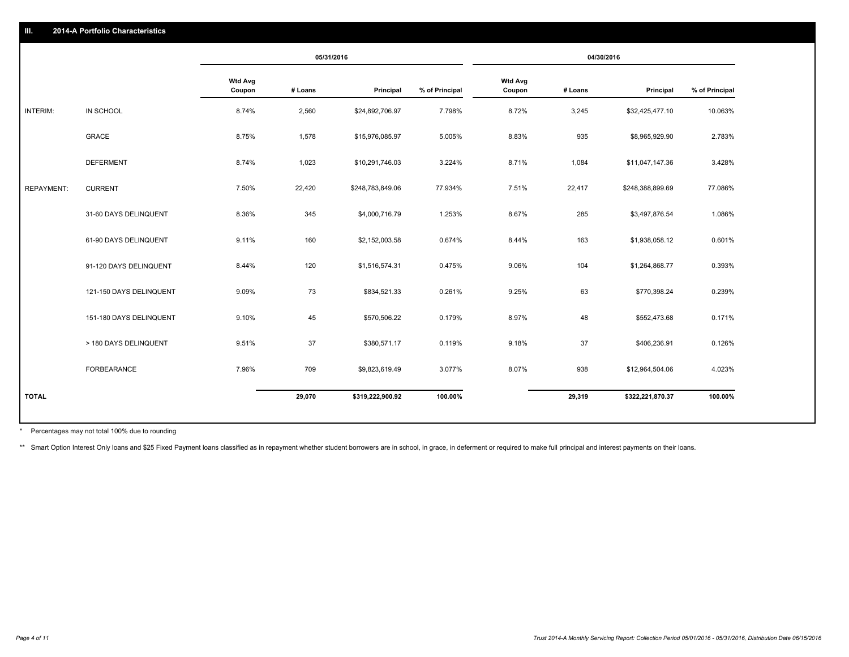|                   |                         | 05/31/2016               |         |                  | 04/30/2016     |                          |         |                  |                |
|-------------------|-------------------------|--------------------------|---------|------------------|----------------|--------------------------|---------|------------------|----------------|
|                   |                         | <b>Wtd Avg</b><br>Coupon | # Loans | Principal        | % of Principal | <b>Wtd Avg</b><br>Coupon | # Loans | Principal        | % of Principal |
| INTERIM:          | IN SCHOOL               | 8.74%                    | 2,560   | \$24,892,706.97  | 7.798%         | 8.72%                    | 3,245   | \$32,425,477.10  | 10.063%        |
|                   | GRACE                   | 8.75%                    | 1,578   | \$15,976,085.97  | 5.005%         | 8.83%                    | 935     | \$8,965,929.90   | 2.783%         |
|                   | <b>DEFERMENT</b>        | 8.74%                    | 1,023   | \$10,291,746.03  | 3.224%         | 8.71%                    | 1,084   | \$11,047,147.36  | 3.428%         |
| <b>REPAYMENT:</b> | <b>CURRENT</b>          | 7.50%                    | 22,420  | \$248,783,849.06 | 77.934%        | 7.51%                    | 22,417  | \$248,388,899.69 | 77.086%        |
|                   | 31-60 DAYS DELINQUENT   | 8.36%                    | 345     | \$4,000,716.79   | 1.253%         | 8.67%                    | 285     | \$3,497,876.54   | 1.086%         |
|                   | 61-90 DAYS DELINQUENT   | 9.11%                    | 160     | \$2,152,003.58   | 0.674%         | 8.44%                    | 163     | \$1,938,058.12   | 0.601%         |
|                   | 91-120 DAYS DELINQUENT  | 8.44%                    | 120     | \$1,516,574.31   | 0.475%         | 9.06%                    | 104     | \$1,264,868.77   | 0.393%         |
|                   | 121-150 DAYS DELINQUENT | 9.09%                    | 73      | \$834,521.33     | 0.261%         | 9.25%                    | 63      | \$770,398.24     | 0.239%         |
|                   | 151-180 DAYS DELINQUENT | 9.10%                    | 45      | \$570,506.22     | 0.179%         | 8.97%                    | 48      | \$552,473.68     | 0.171%         |
|                   | > 180 DAYS DELINQUENT   | 9.51%                    | 37      | \$380,571.17     | 0.119%         | 9.18%                    | 37      | \$406,236.91     | 0.126%         |
|                   | FORBEARANCE             | 7.96%                    | 709     | \$9,823,619.49   | 3.077%         | 8.07%                    | 938     | \$12,964,504.06  | 4.023%         |
| <b>TOTAL</b>      |                         |                          | 29,070  | \$319,222,900.92 | 100.00%        |                          | 29,319  | \$322,221,870.37 | 100.00%        |

Percentages may not total 100% due to rounding \*

\*\* Smart Option Interest Only loans and \$25 Fixed Payment loans classified as in repayment whether student borrowers are in school, in grace, in deferment or required to make full principal and interest payments on their l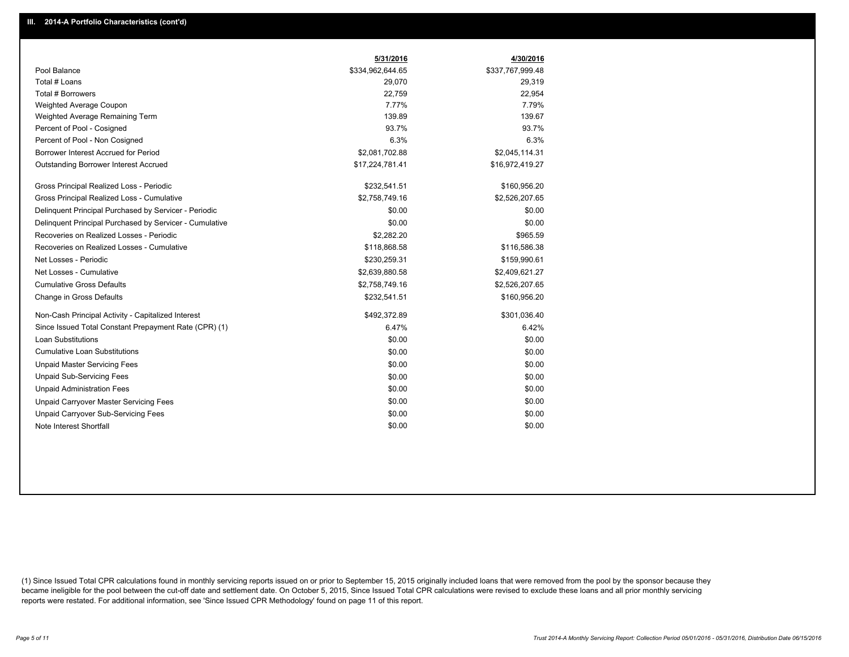|                                                         | 5/31/2016        | 4/30/2016        |
|---------------------------------------------------------|------------------|------------------|
| Pool Balance                                            | \$334,962,644.65 | \$337,767,999.48 |
| Total # Loans                                           | 29,070           | 29,319           |
| Total # Borrowers                                       | 22,759           | 22,954           |
| Weighted Average Coupon                                 | 7.77%            | 7.79%            |
| Weighted Average Remaining Term                         | 139.89           | 139.67           |
| Percent of Pool - Cosigned                              | 93.7%            | 93.7%            |
| Percent of Pool - Non Cosigned                          | 6.3%             | 6.3%             |
| Borrower Interest Accrued for Period                    | \$2,081,702.88   | \$2,045,114.31   |
| Outstanding Borrower Interest Accrued                   | \$17,224,781.41  | \$16,972,419.27  |
| Gross Principal Realized Loss - Periodic                | \$232,541.51     | \$160,956.20     |
| Gross Principal Realized Loss - Cumulative              | \$2,758,749.16   | \$2,526,207.65   |
| Delinguent Principal Purchased by Servicer - Periodic   | \$0.00           | \$0.00           |
| Delinquent Principal Purchased by Servicer - Cumulative | \$0.00           | \$0.00           |
| Recoveries on Realized Losses - Periodic                | \$2,282.20       | \$965.59         |
| Recoveries on Realized Losses - Cumulative              | \$118,868.58     | \$116,586.38     |
| Net Losses - Periodic                                   | \$230,259.31     | \$159,990.61     |
| Net Losses - Cumulative                                 | \$2,639,880.58   | \$2,409,621.27   |
| <b>Cumulative Gross Defaults</b>                        | \$2,758,749.16   | \$2,526,207.65   |
| Change in Gross Defaults                                | \$232,541.51     | \$160,956.20     |
| Non-Cash Principal Activity - Capitalized Interest      | \$492,372.89     | \$301,036.40     |
| Since Issued Total Constant Prepayment Rate (CPR) (1)   | 6.47%            | 6.42%            |
| <b>Loan Substitutions</b>                               | \$0.00           | \$0.00           |
| <b>Cumulative Loan Substitutions</b>                    | \$0.00           | \$0.00           |
| <b>Unpaid Master Servicing Fees</b>                     | \$0.00           | \$0.00           |
| <b>Unpaid Sub-Servicing Fees</b>                        | \$0.00           | \$0.00           |
| <b>Unpaid Administration Fees</b>                       | \$0.00           | \$0.00           |
| Unpaid Carryover Master Servicing Fees                  | \$0.00           | \$0.00           |
| Unpaid Carryover Sub-Servicing Fees                     | \$0.00           | \$0.00           |
| Note Interest Shortfall                                 | \$0.00           | \$0.00           |

(1) Since Issued Total CPR calculations found in monthly servicing reports issued on or prior to September 15, 2015 originally included loans that were removed from the pool by the sponsor because they became ineligible for the pool between the cut-off date and settlement date. On October 5, 2015, Since Issued Total CPR calculations were revised to exclude these loans and all prior monthly servicing reports were restated. For additional information, see 'Since Issued CPR Methodology' found on page 11 of this report.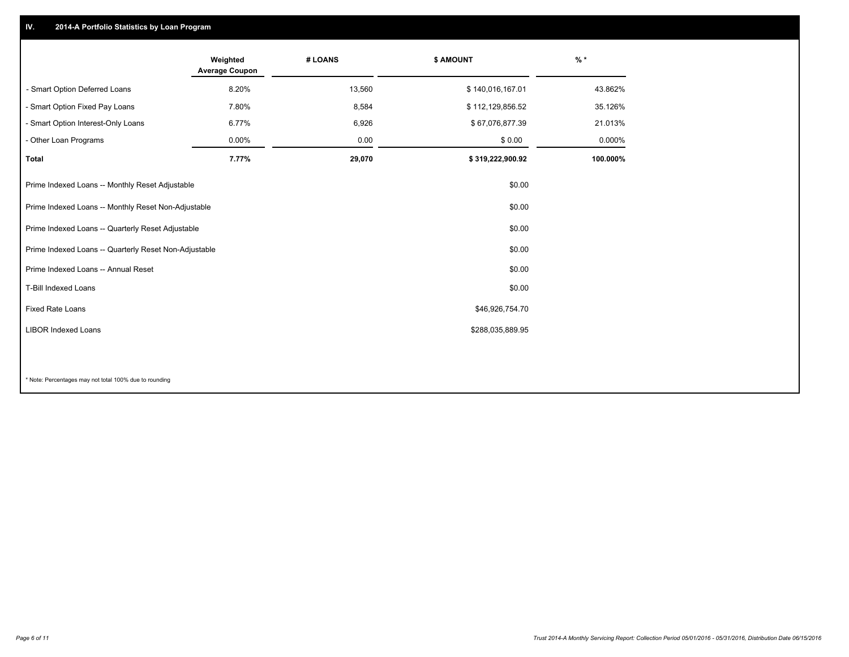## **IV. 2014-A Portfolio Statistics by Loan Program**

|                                                 | Weighted<br><b>Average Coupon</b>                               | # LOANS | <b>\$ AMOUNT</b> | $%$ *    |  |
|-------------------------------------------------|-----------------------------------------------------------------|---------|------------------|----------|--|
| - Smart Option Deferred Loans                   | 8.20%                                                           | 13,560  | \$140,016,167.01 | 43.862%  |  |
| - Smart Option Fixed Pay Loans                  | 7.80%                                                           | 8,584   | \$112,129,856.52 | 35.126%  |  |
| - Smart Option Interest-Only Loans              | 6.77%                                                           | 6,926   | \$67,076,877.39  | 21.013%  |  |
| - Other Loan Programs                           | 0.00%                                                           | 0.00    | \$0.00           | 0.000%   |  |
| <b>Total</b>                                    | 7.77%                                                           | 29,070  | \$319,222,900.92 | 100.000% |  |
| Prime Indexed Loans -- Monthly Reset Adjustable |                                                                 |         | \$0.00           |          |  |
|                                                 | Prime Indexed Loans -- Monthly Reset Non-Adjustable<br>\$0.00   |         |                  |          |  |
|                                                 | Prime Indexed Loans -- Quarterly Reset Adjustable<br>\$0.00     |         |                  |          |  |
|                                                 | Prime Indexed Loans -- Quarterly Reset Non-Adjustable<br>\$0.00 |         |                  |          |  |
| Prime Indexed Loans -- Annual Reset             |                                                                 |         | \$0.00           |          |  |
| T-Bill Indexed Loans                            |                                                                 |         | \$0.00           |          |  |
| Fixed Rate Loans                                |                                                                 |         | \$46,926,754.70  |          |  |
| <b>LIBOR Indexed Loans</b>                      |                                                                 |         | \$288,035,889.95 |          |  |
|                                                 |                                                                 |         |                  |          |  |

\* Note: Percentages may not total 100% due to rounding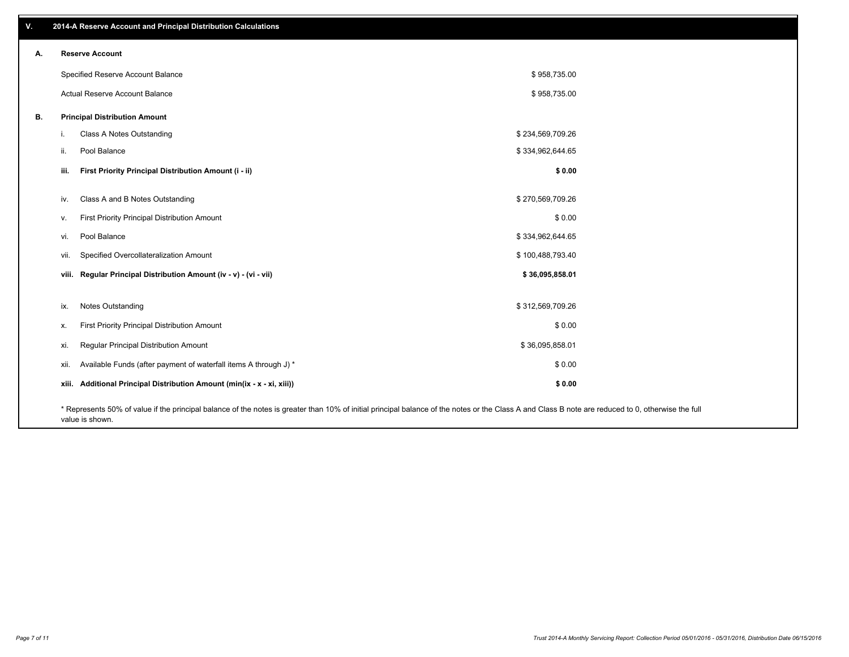| v. | 2014-A Reserve Account and Principal Distribution Calculations                                                                                                                                     |  |                  |  |  |  |  |
|----|----------------------------------------------------------------------------------------------------------------------------------------------------------------------------------------------------|--|------------------|--|--|--|--|
| А. | <b>Reserve Account</b>                                                                                                                                                                             |  |                  |  |  |  |  |
|    | Specified Reserve Account Balance                                                                                                                                                                  |  | \$958,735.00     |  |  |  |  |
|    | Actual Reserve Account Balance                                                                                                                                                                     |  | \$958,735.00     |  |  |  |  |
| В. | <b>Principal Distribution Amount</b>                                                                                                                                                               |  |                  |  |  |  |  |
|    | Class A Notes Outstanding<br>j.                                                                                                                                                                    |  | \$234,569,709.26 |  |  |  |  |
|    | Pool Balance<br>ii.                                                                                                                                                                                |  | \$334,962,644.65 |  |  |  |  |
|    | iii.<br>First Priority Principal Distribution Amount (i - ii)                                                                                                                                      |  | \$0.00           |  |  |  |  |
|    | Class A and B Notes Outstanding<br>iv.                                                                                                                                                             |  | \$270,569,709.26 |  |  |  |  |
|    | First Priority Principal Distribution Amount<br>V.                                                                                                                                                 |  | \$0.00           |  |  |  |  |
|    | Pool Balance<br>vi.                                                                                                                                                                                |  | \$334,962,644.65 |  |  |  |  |
|    | Specified Overcollateralization Amount<br>vii.                                                                                                                                                     |  | \$100,488,793.40 |  |  |  |  |
|    | viii. Regular Principal Distribution Amount (iv - v) - (vi - vii)                                                                                                                                  |  | \$36,095,858.01  |  |  |  |  |
|    | Notes Outstanding<br>ix.                                                                                                                                                                           |  | \$312,569,709.26 |  |  |  |  |
|    | First Priority Principal Distribution Amount<br>х.                                                                                                                                                 |  | \$0.00           |  |  |  |  |
|    | Regular Principal Distribution Amount<br>xi.                                                                                                                                                       |  | \$36,095,858.01  |  |  |  |  |
|    | Available Funds (after payment of waterfall items A through J) *                                                                                                                                   |  |                  |  |  |  |  |
|    | xii.                                                                                                                                                                                               |  | \$0.00           |  |  |  |  |
|    | xiii. Additional Principal Distribution Amount (min(ix - x - xi, xiii))                                                                                                                            |  | \$0.00           |  |  |  |  |
|    | * Represents 50% of value if the principal balance of the notes is greater than 10% of initial principal balance of the notes or the Class A and Class B note are reduced to 0, otherwise the full |  |                  |  |  |  |  |

value is shown.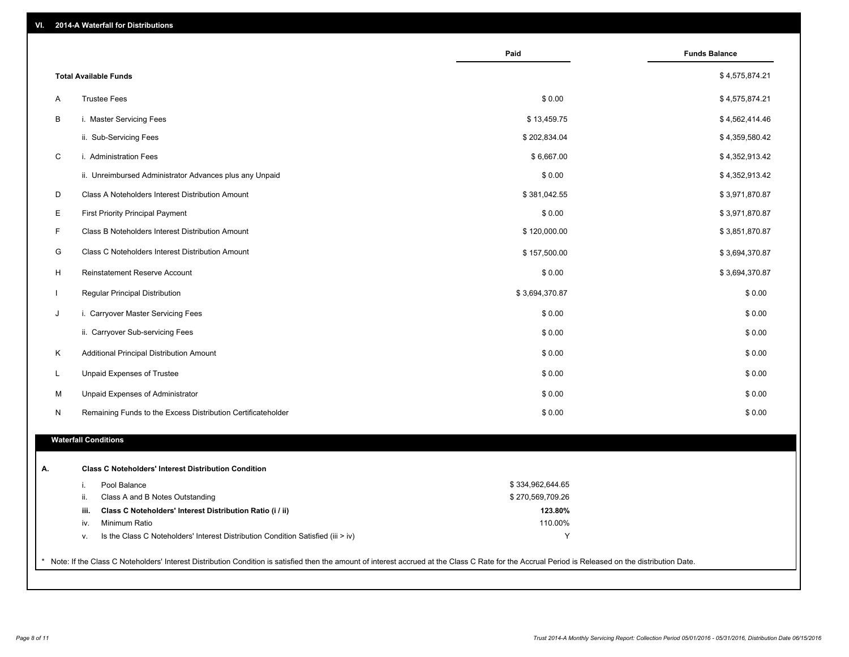| VI. |  | 2014-A Waterfall for Distributions |  |  |  |
|-----|--|------------------------------------|--|--|--|
|-----|--|------------------------------------|--|--|--|

|              |                                                                                        | Paid             | <b>Funds Balance</b> |
|--------------|----------------------------------------------------------------------------------------|------------------|----------------------|
|              | <b>Total Available Funds</b>                                                           |                  | \$4,575,874.21       |
| A            | <b>Trustee Fees</b>                                                                    | \$0.00           | \$4,575,874.21       |
| B            | i. Master Servicing Fees                                                               | \$13,459.75      | \$4,562,414.46       |
|              | ii. Sub-Servicing Fees                                                                 | \$202,834.04     | \$4,359,580.42       |
| C            | i. Administration Fees                                                                 | \$6,667.00       | \$4,352,913.42       |
|              | ii. Unreimbursed Administrator Advances plus any Unpaid                                | \$0.00           | \$4,352,913.42       |
| D            | Class A Noteholders Interest Distribution Amount                                       | \$381,042.55     | \$3,971,870.87       |
|              | <b>First Priority Principal Payment</b>                                                | \$0.00           | \$3,971,870.87       |
| E<br>F       |                                                                                        |                  |                      |
|              | Class B Noteholders Interest Distribution Amount                                       | \$120,000.00     | \$3,851,870.87       |
| G            | Class C Noteholders Interest Distribution Amount                                       | \$157,500.00     | \$3,694,370.87       |
| H            | <b>Reinstatement Reserve Account</b>                                                   | \$0.00           | \$3,694,370.87       |
| $\mathbf{I}$ | Regular Principal Distribution                                                         | \$3,694,370.87   | \$0.00               |
| J            | i. Carryover Master Servicing Fees                                                     | \$0.00           | \$0.00               |
|              | ii. Carryover Sub-servicing Fees                                                       | \$0.00           | \$0.00               |
| K            | Additional Principal Distribution Amount                                               | \$0.00           | \$0.00               |
| L            | Unpaid Expenses of Trustee                                                             | \$0.00           | \$0.00               |
| М            | Unpaid Expenses of Administrator                                                       | \$0.00           | \$0.00               |
| N            | Remaining Funds to the Excess Distribution Certificateholder                           | \$0.00           | \$0.00               |
|              | <b>Waterfall Conditions</b>                                                            |                  |                      |
|              |                                                                                        |                  |                      |
|              | <b>Class C Noteholders' Interest Distribution Condition</b>                            |                  |                      |
|              | Pool Balance<br>i.                                                                     | \$334,962,644.65 |                      |
|              | ii.<br>Class A and B Notes Outstanding                                                 | \$270,569,709.26 |                      |
|              | Class C Noteholders' Interest Distribution Ratio (i / ii)<br>iii.                      | 123.80%          |                      |
|              | Minimum Ratio<br>iv.                                                                   | 110.00%          |                      |
|              | Is the Class C Noteholders' Interest Distribution Condition Satisfied (iii > iv)<br>ν. | Y                |                      |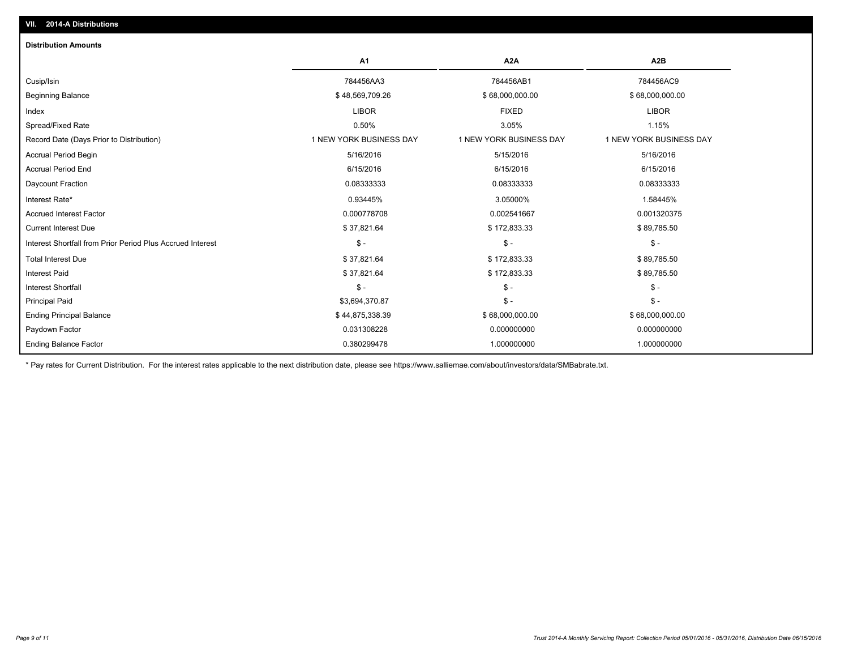| <b>Distribution Amounts</b>                                |                         |                         |                         |
|------------------------------------------------------------|-------------------------|-------------------------|-------------------------|
|                                                            | A1                      | A <sub>2</sub> A        | A <sub>2</sub> B        |
| Cusip/Isin                                                 | 784456AA3               | 784456AB1               | 784456AC9               |
| <b>Beginning Balance</b>                                   | \$48,569,709.26         | \$68,000,000.00         | \$68,000,000.00         |
| Index                                                      | <b>LIBOR</b>            | <b>FIXED</b>            | <b>LIBOR</b>            |
| Spread/Fixed Rate                                          | 0.50%                   | 3.05%                   | 1.15%                   |
| Record Date (Days Prior to Distribution)                   | 1 NEW YORK BUSINESS DAY | 1 NEW YORK BUSINESS DAY | 1 NEW YORK BUSINESS DAY |
| Accrual Period Begin                                       | 5/16/2016               | 5/15/2016               | 5/16/2016               |
| <b>Accrual Period End</b>                                  | 6/15/2016               | 6/15/2016               | 6/15/2016               |
| Daycount Fraction                                          | 0.08333333              | 0.08333333              | 0.08333333              |
| Interest Rate*                                             | 0.93445%                | 3.05000%                | 1.58445%                |
| <b>Accrued Interest Factor</b>                             | 0.000778708             | 0.002541667             | 0.001320375             |
| <b>Current Interest Due</b>                                | \$37,821.64             | \$172,833.33            | \$89,785.50             |
| Interest Shortfall from Prior Period Plus Accrued Interest | $\mathsf{\$}$ -         | $\mathcal{S}$ -         | $\mathsf{\$}$ -         |
| <b>Total Interest Due</b>                                  | \$37,821.64             | \$172,833.33            | \$89,785.50             |
| <b>Interest Paid</b>                                       | \$37,821.64             | \$172,833.33            | \$89,785.50             |
| <b>Interest Shortfall</b>                                  | $S -$                   | $\mathcal{S}$ -         | $$ -$                   |
| <b>Principal Paid</b>                                      | \$3,694,370.87          | $\mathsf{\$}$ -         | $S -$                   |
| <b>Ending Principal Balance</b>                            | \$44,875,338.39         | \$68,000,000.00         | \$68,000,000.00         |
| Paydown Factor                                             | 0.031308228             | 0.000000000             | 0.000000000             |
| <b>Ending Balance Factor</b>                               | 0.380299478             | 1.000000000             | 1.000000000             |

\* Pay rates for Current Distribution. For the interest rates applicable to the next distribution date, please see https://www.salliemae.com/about/investors/data/SMBabrate.txt.

**VII. 2014-A Distributions**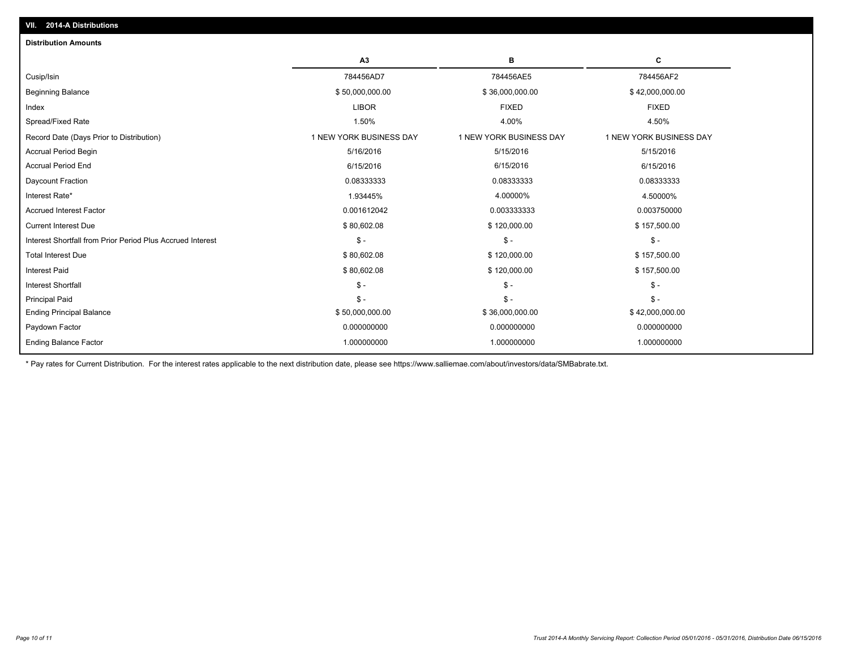| <b>Distribution Amounts</b>                                |                         |                         |                         |
|------------------------------------------------------------|-------------------------|-------------------------|-------------------------|
|                                                            | A3                      | в                       | С                       |
| Cusip/Isin                                                 | 784456AD7               | 784456AE5               | 784456AF2               |
| <b>Beginning Balance</b>                                   | \$50,000,000.00         | \$36,000,000.00         | \$42,000,000.00         |
| Index                                                      | <b>LIBOR</b>            | <b>FIXED</b>            | <b>FIXED</b>            |
| Spread/Fixed Rate                                          | 1.50%                   | 4.00%                   | 4.50%                   |
| Record Date (Days Prior to Distribution)                   | 1 NEW YORK BUSINESS DAY | 1 NEW YORK BUSINESS DAY | 1 NEW YORK BUSINESS DAY |
| <b>Accrual Period Begin</b>                                | 5/16/2016               | 5/15/2016               | 5/15/2016               |
| <b>Accrual Period End</b>                                  | 6/15/2016               | 6/15/2016               | 6/15/2016               |
| Daycount Fraction                                          | 0.08333333              | 0.08333333              | 0.08333333              |
| Interest Rate*                                             | 1.93445%                | 4.00000%                | 4.50000%                |
| <b>Accrued Interest Factor</b>                             | 0.001612042             | 0.003333333             | 0.003750000             |
| <b>Current Interest Due</b>                                | \$80,602.08             | \$120,000.00            | \$157,500.00            |
| Interest Shortfall from Prior Period Plus Accrued Interest | $$ -$                   | $\mathsf{\$}$ -         | $\mathsf{\$}$ -         |
| <b>Total Interest Due</b>                                  | \$80,602.08             | \$120,000.00            | \$157,500.00            |
| <b>Interest Paid</b>                                       | \$80,602.08             | \$120,000.00            | \$157,500.00            |
| <b>Interest Shortfall</b>                                  | $\mathsf{\$}$ -         | $\mathcal{S}$ -         | $\mathsf{\$}$ -         |
| <b>Principal Paid</b>                                      | $S -$                   | $\mathsf{\$}$ -         | $S -$                   |
| <b>Ending Principal Balance</b>                            | \$50,000,000.00         | \$36,000,000.00         | \$42,000,000.00         |
| Paydown Factor                                             | 0.000000000             | 0.000000000             | 0.000000000             |
| <b>Ending Balance Factor</b>                               | 1.000000000             | 1.000000000             | 1.000000000             |
|                                                            |                         |                         |                         |

\* Pay rates for Current Distribution. For the interest rates applicable to the next distribution date, please see https://www.salliemae.com/about/investors/data/SMBabrate.txt.

**VII. 2014-A Distributions**